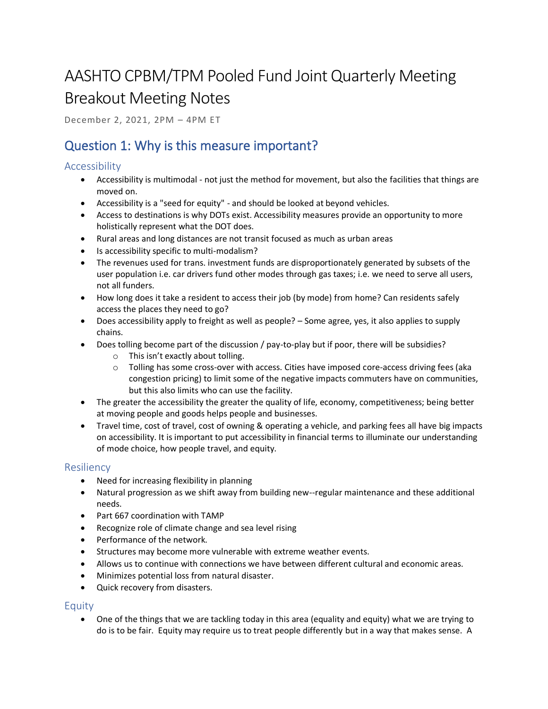# AASHTO CPBM/TPM Pooled Fund Joint Quarterly Meeting Breakout Meeting Notes

December 2, 2021, 2PM – 4PM ET

## Question 1: Why is this measure important?

#### Accessibility

- Accessibility is multimodal not just the method for movement, but also the facilities that things are moved on.
- Accessibility is a "seed for equity" and should be looked at beyond vehicles.
- Access to destinations is why DOTs exist. Accessibility measures provide an opportunity to more holistically represent what the DOT does.
- Rural areas and long distances are not transit focused as much as urban areas
- Is accessibility specific to multi-modalism?
- The revenues used for trans. investment funds are disproportionately generated by subsets of the user population i.e. car drivers fund other modes through gas taxes; i.e. we need to serve all users, not all funders.
- How long does it take a resident to access their job (by mode) from home? Can residents safely access the places they need to go?
- Does accessibility apply to freight as well as people? Some agree, yes, it also applies to supply chains.
- Does tolling become part of the discussion / pay-to-play but if poor, there will be subsidies?
	- o This isn't exactly about tolling.
	- $\circ$  Tolling has some cross-over with access. Cities have imposed core-access driving fees (aka congestion pricing) to limit some of the negative impacts commuters have on communities, but this also limits who can use the facility.
- The greater the accessibility the greater the quality of life, economy, competitiveness; being better at moving people and goods helps people and businesses.
- Travel time, cost of travel, cost of owning & operating a vehicle, and parking fees all have big impacts on accessibility. It is important to put accessibility in financial terms to illuminate our understanding of mode choice, how people travel, and equity.

#### Resiliency

- Need for increasing flexibility in planning
- Natural progression as we shift away from building new--regular maintenance and these additional needs.
- Part 667 coordination with TAMP
- Recognize role of climate change and sea level rising
- Performance of the network.
- Structures may become more vulnerable with extreme weather events.
- Allows us to continue with connections we have between different cultural and economic areas.
- Minimizes potential loss from natural disaster.
- Quick recovery from disasters.

#### Equity

• One of the things that we are tackling today in this area (equality and equity) what we are trying to do is to be fair. Equity may require us to treat people differently but in a way that makes sense. A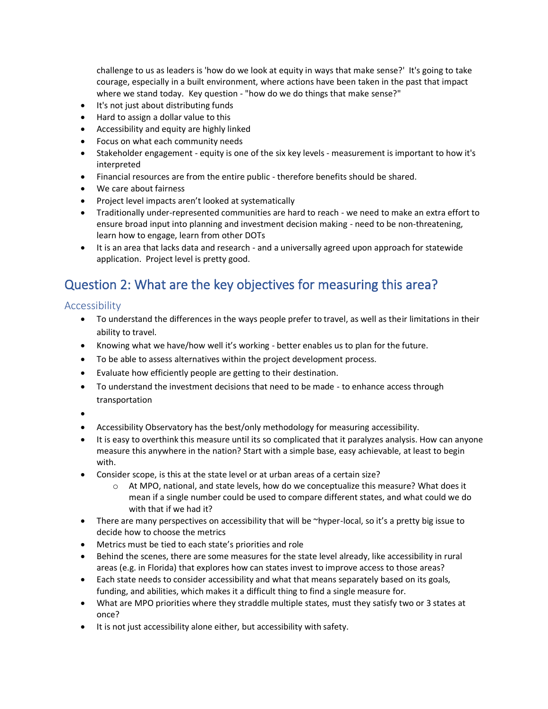challenge to us as leaders is 'how do we look at equity in ways that make sense?' It's going to take courage, especially in a built environment, where actions have been taken in the past that impact where we stand today. Key question - "how do we do things that make sense?"

- It's not just about distributing funds
- Hard to assign a dollar value to this
- Accessibility and equity are highly linked
- Focus on what each community needs
- Stakeholder engagement equity is one of the six key levels measurement is important to how it's interpreted
- Financial resources are from the entire public therefore benefits should be shared.
- We care about fairness
- Project level impacts aren't looked at systematically
- Traditionally under-represented communities are hard to reach we need to make an extra effort to ensure broad input into planning and investment decision making - need to be non-threatening, learn how to engage, learn from other DOTs
- It is an area that lacks data and research and a universally agreed upon approach for statewide application. Project level is pretty good.

# Question 2: What are the key objectives for measuring this area?

Accessibility

- To understand the differences in the ways people prefer to travel, as well as their limitations in their ability to travel.
- Knowing what we have/how well it's working better enables us to plan for the future.
- To be able to assess alternatives within the project development process.
- Evaluate how efficiently people are getting to their destination.
- To understand the investment decisions that need to be made to enhance access through transportation
- •
- Accessibility Observatory has the best/only methodology for measuring accessibility.
- It is easy to overthink this measure until its so complicated that it paralyzes analysis. How can anyone measure this anywhere in the nation? Start with a simple base, easy achievable, at least to begin with.
- Consider scope, is this at the state level or at urban areas of a certain size?
	- $\circ$  At MPO, national, and state levels, how do we conceptualize this measure? What does it mean if a single number could be used to compare different states, and what could we do with that if we had it?
- There are many perspectives on accessibility that will be ~hyper-local, so it's a pretty big issue to decide how to choose the metrics
- Metrics must be tied to each state's priorities and role
- Behind the scenes, there are some measures for the state level already, like accessibility in rural areas (e.g. in Florida) that explores how can states invest to improve access to those areas?
- Each state needs to consider accessibility and what that means separately based on its goals, funding, and abilities, which makes it a difficult thing to find a single measure for.
- What are MPO priorities where they straddle multiple states, must they satisfy two or 3 states at once?
- It is not just accessibility alone either, but accessibility with safety.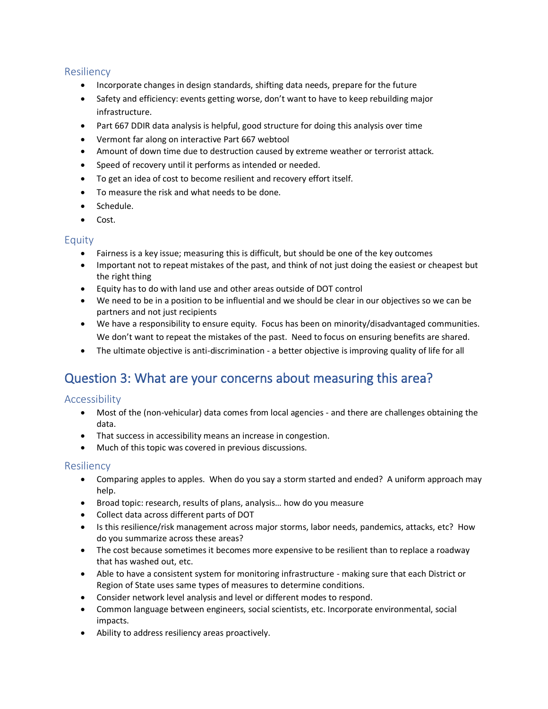#### Resiliency

- Incorporate changes in design standards, shifting data needs, prepare for the future
- Safety and efficiency: events getting worse, don't want to have to keep rebuilding major infrastructure.
- Part 667 DDIR data analysis is helpful, good structure for doing this analysis over time
- Vermont far along on interactive Part 667 webtool
- Amount of down time due to destruction caused by extreme weather or terrorist attack.
- Speed of recovery until it performs as intended or needed.
- To get an idea of cost to become resilient and recovery effort itself.
- To measure the risk and what needs to be done.
- Schedule.
- Cost.

#### Equity

- Fairness is a key issue; measuring this is difficult, but should be one of the key outcomes
- Important not to repeat mistakes of the past, and think of not just doing the easiest or cheapest but the right thing
- Equity has to do with land use and other areas outside of DOT control
- We need to be in a position to be influential and we should be clear in our objectives so we can be partners and not just recipients
- We have a responsibility to ensure equity. Focus has been on minority/disadvantaged communities. We don't want to repeat the mistakes of the past. Need to focus on ensuring benefits are shared.
- The ultimate objective is anti-discrimination a better objective is improving quality of life for all

### Question 3: What are your concerns about measuring this area?

#### **Accessibility**

- Most of the (non-vehicular) data comes from local agencies and there are challenges obtaining the data.
- That success in accessibility means an increase in congestion.
- Much of this topic was covered in previous discussions.

#### Resiliency

- Comparing apples to apples. When do you say a storm started and ended? A uniform approach may help.
- Broad topic: research, results of plans, analysis… how do you measure
- Collect data across different parts of DOT
- Is this resilience/risk management across major storms, labor needs, pandemics, attacks, etc? How do you summarize across these areas?
- The cost because sometimes it becomes more expensive to be resilient than to replace a roadway that has washed out, etc.
- Able to have a consistent system for monitoring infrastructure making sure that each District or Region of State uses same types of measures to determine conditions.
- Consider network level analysis and level or different modes to respond.
- Common language between engineers, social scientists, etc. Incorporate environmental, social impacts.
- Ability to address resiliency areas proactively.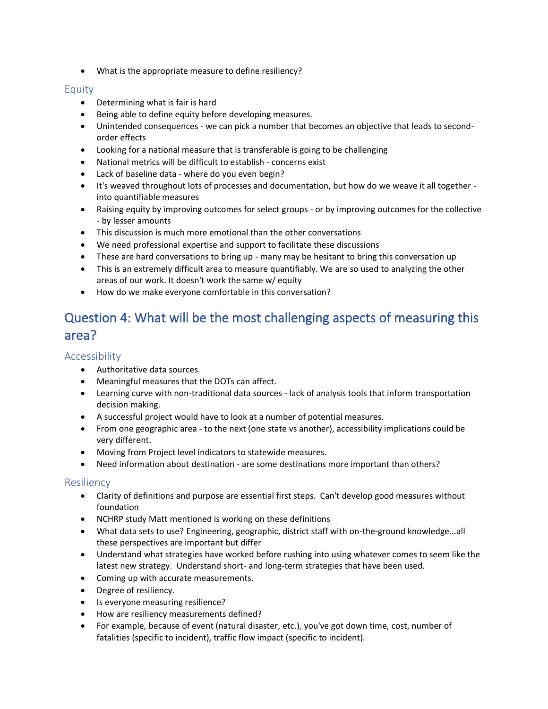• What is the appropriate measure to define resiliency?

#### Equity

- Determining what is fair is hard
- Being able to define equity before developing measures.
- Unintended consequences we can pick a number that becomes an objective that leads to secondorder effects
- Looking for a national measure that is transferable is going to be challenging
- National metrics will be difficult to establish concerns exist
- Lack of baseline data where do you even begin?
- It's weaved throughout lots of processes and documentation, but how do we weave it all together into quantifiable measures
- Raising equity by improving outcomes for select groups or by improving outcomes for the collective - by lesser amounts
- This discussion is much more emotional than the other conversations
- We need professional expertise and support to facilitate these discussions
- These are hard conversations to bring up many may be hesitant to bring this conversation up
- This is an extremely difficult area to measure quantifiably. We are so used to analyzing the other areas of our work. It doesn't work the same w/ equity
- How do we make everyone comfortable in this conversation?

## Question 4: What will be the most challenging aspects of measuring this area?

#### Accessibility

- Authoritative data sources.
- Meaningful measures that the DOTs can affect.
- Learning curve with non-traditional data sources lack of analysis tools that inform transportation decision making.
- A successful project would have to look at a number of potential measures.
- From one geographic area to the next (one state vs another), accessibility implications could be very different.
- Moving from Project level indicators to statewide measures.
- Need information about destination are some destinations more important than others?

#### Resiliency

- Clarity of definitions and purpose are essential first steps. Can't develop good measures without foundation
- NCHRP study Matt mentioned is working on these definitions
- What data sets to use? Engineering, geographic, district staff with on-the-ground knowledge...all these perspectives are important but differ
- Understand what strategies have worked before rushing into using whatever comes to seem like the latest new strategy. Understand short- and long-term strategies that have been used.
- Coming up with accurate measurements.
- Degree of resiliency.
- Is everyone measuring resilience?
- How are resiliency measurements defined?
- For example, because of event (natural disaster, etc.), you've got down time, cost, number of fatalities (specific to incident), traffic flow impact (specific to incident).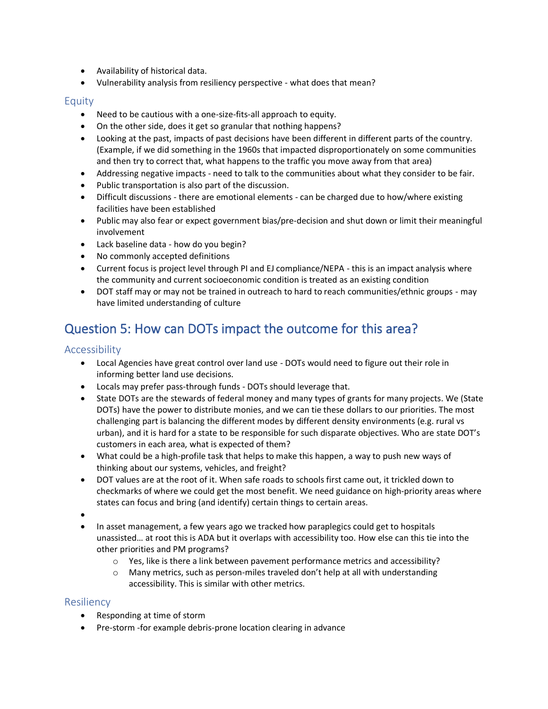- Availability of historical data.
- Vulnerability analysis from resiliency perspective what does that mean?

#### Equity

- Need to be cautious with a one-size-fits-all approach to equity.
- On the other side, does it get so granular that nothing happens?
- Looking at the past, impacts of past decisions have been different in different parts of the country. (Example, if we did something in the 1960s that impacted disproportionately on some communities and then try to correct that, what happens to the traffic you move away from that area)
- Addressing negative impacts need to talk to the communities about what they consider to be fair.
- Public transportation is also part of the discussion.
- Difficult discussions there are emotional elements can be charged due to how/where existing facilities have been established
- Public may also fear or expect government bias/pre-decision and shut down or limit their meaningful involvement
- Lack baseline data how do you begin?
- No commonly accepted definitions
- Current focus is project level through PI and EJ compliance/NEPA this is an impact analysis where the community and current socioeconomic condition is treated as an existing condition
- DOT staff may or may not be trained in outreach to hard to reach communities/ethnic groups may have limited understanding of culture

# Question 5: How can DOTs impact the outcome for this area?

#### Accessibility

- Local Agencies have great control over land use DOTs would need to figure out their role in informing better land use decisions.
- Locals may prefer pass-through funds DOTs should leverage that.
- State DOTs are the stewards of federal money and many types of grants for many projects. We (State DOTs) have the power to distribute monies, and we can tie these dollars to our priorities. The most challenging part is balancing the different modes by different density environments (e.g. rural vs urban), and it is hard for a state to be responsible for such disparate objectives. Who are state DOT's customers in each area, what is expected of them?
- What could be a high-profile task that helps to make this happen, a way to push new ways of thinking about our systems, vehicles, and freight?
- DOT values are at the root of it. When safe roads to schools first came out, it trickled down to checkmarks of where we could get the most benefit. We need guidance on high-priority areas where states can focus and bring (and identify) certain things to certain areas.
- •
- In asset management, a few years ago we tracked how paraplegics could get to hospitals unassisted… at root this is ADA but it overlaps with accessibility too. How else can this tie into the other priorities and PM programs?
	- o Yes, like is there a link between pavement performance metrics and accessibility?
	- $\circ$  Many metrics, such as person-miles traveled don't help at all with understanding accessibility. This is similar with other metrics.

#### **Resiliency**

- Responding at time of storm
- Pre-storm -for example debris-prone location clearing in advance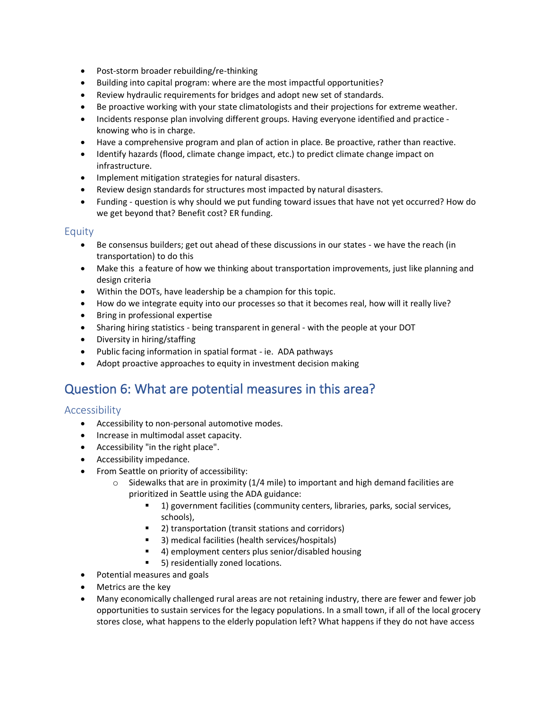- Post-storm broader rebuilding/re-thinking
- Building into capital program: where are the most impactful opportunities?
- Review hydraulic requirements for bridges and adopt new set of standards.
- Be proactive working with your state climatologists and their projections for extreme weather.
- Incidents response plan involving different groups. Having everyone identified and practice knowing who is in charge.
- Have a comprehensive program and plan of action in place. Be proactive, rather than reactive.
- Identify hazards (flood, climate change impact, etc.) to predict climate change impact on infrastructure.
- Implement mitigation strategies for natural disasters.
- Review design standards for structures most impacted by natural disasters.
- Funding question is why should we put funding toward issues that have not yet occurred? How do we get beyond that? Benefit cost? ER funding.

#### Equity

- Be consensus builders; get out ahead of these discussions in our states we have the reach (in transportation) to do this
- Make this a feature of how we thinking about transportation improvements, just like planning and design criteria
- Within the DOTs, have leadership be a champion for this topic.
- How do we integrate equity into our processes so that it becomes real, how will it really live?
- Bring in professional expertise
- Sharing hiring statistics being transparent in general with the people at your DOT
- Diversity in hiring/staffing
- Public facing information in spatial format ie. ADA pathways
- Adopt proactive approaches to equity in investment decision making

### Question 6: What are potential measures in this area?

#### Accessibility

- Accessibility to non-personal automotive modes.
- Increase in multimodal asset capacity.
- Accessibility "in the right place".
- Accessibility impedance.
- From Seattle on priority of accessibility:
	- $\circ$  Sidewalks that are in proximity (1/4 mile) to important and high demand facilities are prioritized in Seattle using the ADA guidance:
		- 1) government facilities (community centers, libraries, parks, social services, schools),
		- 2) transportation (transit stations and corridors)
		- 3) medical facilities (health services/hospitals)
		- 4) employment centers plus senior/disabled housing
		- 5) residentially zoned locations.
- Potential measures and goals
- Metrics are the key
- Many economically challenged rural areas are not retaining industry, there are fewer and fewer job opportunities to sustain services for the legacy populations. In a small town, if all of the local grocery stores close, what happens to the elderly population left? What happens if they do not have access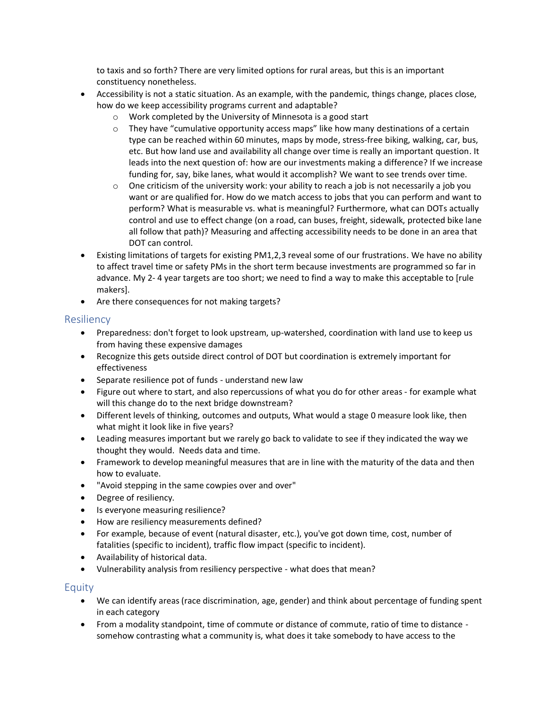to taxis and so forth? There are very limited options for rural areas, but this is an important constituency nonetheless.

- Accessibility is not a static situation. As an example, with the pandemic, things change, places close, how do we keep accessibility programs current and adaptable?
	- o Work completed by the University of Minnesota is a good start
	- $\circ$  They have "cumulative opportunity access maps" like how many destinations of a certain type can be reached within 60 minutes, maps by mode, stress-free biking, walking, car, bus, etc. But how land use and availability all change over time is really an important question. It leads into the next question of: how are our investments making a difference? If we increase funding for, say, bike lanes, what would it accomplish? We want to see trends over time.
	- $\circ$  One criticism of the university work: your ability to reach a job is not necessarily a job you want or are qualified for. How do we match access to jobs that you can perform and want to perform? What is measurable vs. what is meaningful? Furthermore, what can DOTs actually control and use to effect change (on a road, can buses, freight, sidewalk, protected bike lane all follow that path)? Measuring and affecting accessibility needs to be done in an area that DOT can control.
- Existing limitations of targets for existing PM1,2,3 reveal some of our frustrations. We have no ability to affect travel time or safety PMs in the short term because investments are programmed so far in advance. My 2- 4 year targets are too short; we need to find a way to make this acceptable to [rule makers].
- Are there consequences for not making targets?

#### Resiliency

- Preparedness: don't forget to look upstream, up-watershed, coordination with land use to keep us from having these expensive damages
- Recognize this gets outside direct control of DOT but coordination is extremely important for effectiveness
- Separate resilience pot of funds understand new law
- Figure out where to start, and also repercussions of what you do for other areas for example what will this change do to the next bridge downstream?
- Different levels of thinking, outcomes and outputs, What would a stage 0 measure look like, then what might it look like in five years?
- Leading measures important but we rarely go back to validate to see if they indicated the way we thought they would. Needs data and time.
- Framework to develop meaningful measures that are in line with the maturity of the data and then how to evaluate.
- "Avoid stepping in the same cowpies over and over"
- Degree of resiliency.
- Is everyone measuring resilience?
- How are resiliency measurements defined?
- For example, because of event (natural disaster, etc.), you've got down time, cost, number of fatalities (specific to incident), traffic flow impact (specific to incident).
- Availability of historical data.
- Vulnerability analysis from resiliency perspective what does that mean?

- We can identify areas (race discrimination, age, gender) and think about percentage of funding spent in each category
- From a modality standpoint, time of commute or distance of commute, ratio of time to distance somehow contrasting what a community is, what does it take somebody to have access to the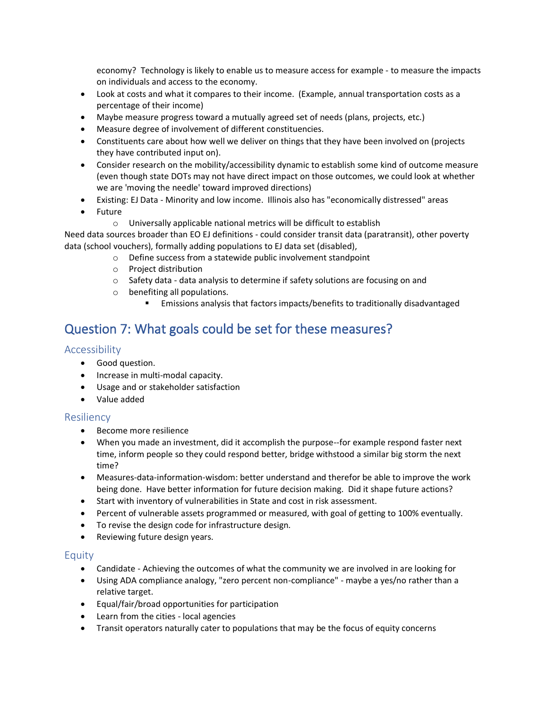economy? Technology is likely to enable us to measure access for example - to measure the impacts on individuals and access to the economy.

- Look at costs and what it compares to their income. (Example, annual transportation costs as a percentage of their income)
- Maybe measure progress toward a mutually agreed set of needs (plans, projects, etc.)
- Measure degree of involvement of different constituencies.
- Constituents care about how well we deliver on things that they have been involved on (projects they have contributed input on).
- Consider research on the mobility/accessibility dynamic to establish some kind of outcome measure (even though state DOTs may not have direct impact on those outcomes, we could look at whether we are 'moving the needle' toward improved directions)
- Existing: EJ Data Minority and low income. Illinois also has "economically distressed" areas
- Future
	- o Universally applicable national metrics will be difficult to establish

Need data sources broader than EO EJ definitions - could consider transit data (paratransit), other poverty data (school vouchers), formally adding populations to EJ data set (disabled),

- o Define success from a statewide public involvement standpoint
- o Project distribution
- o Safety data data analysis to determine if safety solutions are focusing on and
- o benefiting all populations.
	- Emissions analysis that factors impacts/benefits to traditionally disadvantaged

### Question 7: What goals could be set for these measures?

#### Accessibility

- Good question.
- Increase in multi-modal capacity.
- Usage and or stakeholder satisfaction
- Value added

#### Resiliency

- Become more resilience
- When you made an investment, did it accomplish the purpose--for example respond faster next time, inform people so they could respond better, bridge withstood a similar big storm the next time?
- Measures-data-information-wisdom: better understand and therefor be able to improve the work being done. Have better information for future decision making. Did it shape future actions?
- Start with inventory of vulnerabilities in State and cost in risk assessment.
- Percent of vulnerable assets programmed or measured, with goal of getting to 100% eventually.
- To revise the design code for infrastructure design.
- Reviewing future design years.

- Candidate Achieving the outcomes of what the community we are involved in are looking for
- Using ADA compliance analogy, "zero percent non-compliance" maybe a yes/no rather than a relative target.
- Equal/fair/broad opportunities for participation
- Learn from the cities local agencies
- Transit operators naturally cater to populations that may be the focus of equity concerns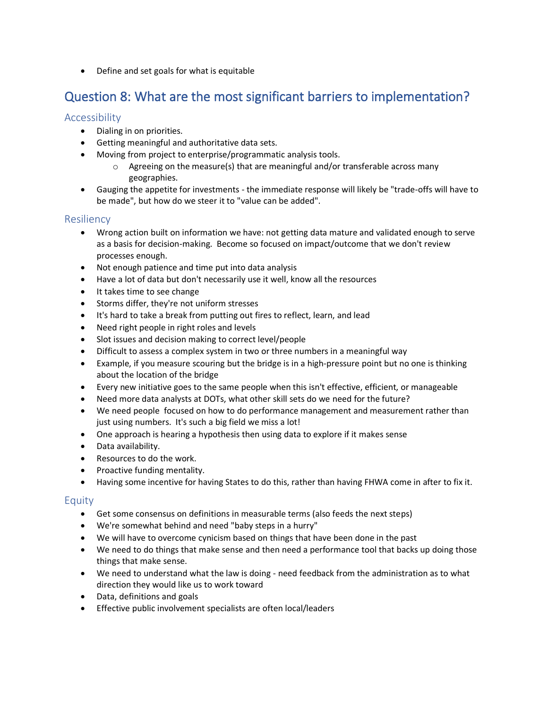• Define and set goals for what is equitable

# Question 8: What are the most significant barriers to implementation?

#### Accessibility

- Dialing in on priorities.
- Getting meaningful and authoritative data sets.
- Moving from project to enterprise/programmatic analysis tools.
	- $\circ$  Agreeing on the measure(s) that are meaningful and/or transferable across many geographies.
- Gauging the appetite for investments the immediate response will likely be "trade-offs will have to be made", but how do we steer it to "value can be added".

#### Resiliency

- Wrong action built on information we have: not getting data mature and validated enough to serve as a basis for decision-making. Become so focused on impact/outcome that we don't review processes enough.
- Not enough patience and time put into data analysis
- Have a lot of data but don't necessarily use it well, know all the resources
- It takes time to see change
- Storms differ, they're not uniform stresses
- It's hard to take a break from putting out fires to reflect, learn, and lead
- Need right people in right roles and levels
- Slot issues and decision making to correct level/people
- Difficult to assess a complex system in two or three numbers in a meaningful way
- Example, if you measure scouring but the bridge is in a high-pressure point but no one is thinking about the location of the bridge
- Every new initiative goes to the same people when this isn't effective, efficient, or manageable
- Need more data analysts at DOTs, what other skill sets do we need for the future?
- We need people focused on how to do performance management and measurement rather than just using numbers. It's such a big field we miss a lot!
- One approach is hearing a hypothesis then using data to explore if it makes sense
- Data availability.
- Resources to do the work.
- Proactive funding mentality.
- Having some incentive for having States to do this, rather than having FHWA come in after to fix it.

- Get some consensus on definitions in measurable terms (also feeds the next steps)
- We're somewhat behind and need "baby steps in a hurry"
- We will have to overcome cynicism based on things that have been done in the past
- We need to do things that make sense and then need a performance tool that backs up doing those things that make sense.
- We need to understand what the law is doing need feedback from the administration as to what direction they would like us to work toward
- Data, definitions and goals
- Effective public involvement specialists are often local/leaders